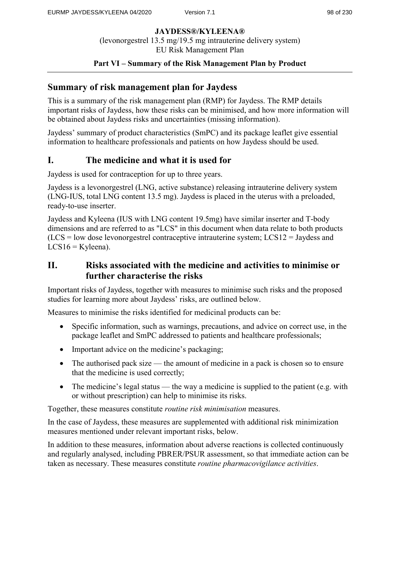# **Part VI – Summary of the Risk Management Plan by Product**

# **Summary of risk management plan for Jaydess**

This is a summary of the risk management plan (RMP) for Jaydess. The RMP details important risks of Jaydess, how these risks can be minimised, and how more information will be obtained about Jaydess risks and uncertainties (missing information).

Jaydess' summary of product characteristics (SmPC) and its package leaflet give essential information to healthcare professionals and patients on how Jaydess should be used.

# **I. The medicine and what it is used for**

Jaydess is used for contraception for up to three years.

Jaydess is a levonorgestrel (LNG, active substance) releasing intrauterine delivery system (LNG-IUS, total LNG content 13.5 mg). Jaydess is placed in the uterus with a preloaded, ready-to-use inserter.

Jaydess and Kyleena (IUS with LNG content 19.5mg) have similar inserter and T-body dimensions and are referred to as "LCS" in this document when data relate to both products (LCS = low dose levonorgestrel contraceptive intrauterine system; LCS12 = Jaydess and  $LCS16 = Kyleena$ ).

# **II. Risks associated with the medicine and activities to minimise or further characterise the risks**

Important risks of Jaydess, together with measures to minimise such risks and the proposed studies for learning more about Jaydess' risks, are outlined below.

Measures to minimise the risks identified for medicinal products can be:

- Specific information, such as warnings, precautions, and advice on correct use, in the package leaflet and SmPC addressed to patients and healthcare professionals;
- Important advice on the medicine's packaging;
- The authorised pack size the amount of medicine in a pack is chosen so to ensure that the medicine is used correctly;
- The medicine's legal status the way a medicine is supplied to the patient (e.g. with or without prescription) can help to minimise its risks.

Together, these measures constitute *routine risk minimisation* measures.

In the case of Jaydess, these measures are supplemented with additional risk minimization measures mentioned under relevant important risks, below.

In addition to these measures, information about adverse reactions is collected continuously and regularly analysed, including PBRER/PSUR assessment, so that immediate action can be taken as necessary. These measures constitute *routine pharmacovigilance activities*.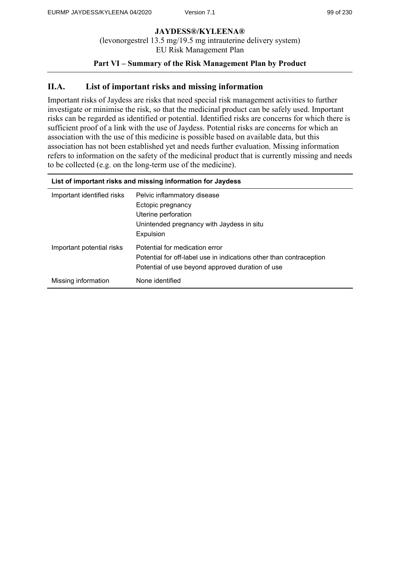## **Part VI – Summary of the Risk Management Plan by Product**

# **II.A. List of important risks and missing information**

Important risks of Jaydess are risks that need special risk management activities to further investigate or minimise the risk, so that the medicinal product can be safely used. Important risks can be regarded as identified or potential. Identified risks are concerns for which there is sufficient proof of a link with the use of Jaydess. Potential risks are concerns for which an association with the use of this medicine is possible based on available data, but this association has not been established yet and needs further evaluation. Missing information refers to information on the safety of the medicinal product that is currently missing and needs to be collected (e.g. on the long-term use of the medicine).

| List of important risks and missing information for Jaydess |                                                                                                                                                           |
|-------------------------------------------------------------|-----------------------------------------------------------------------------------------------------------------------------------------------------------|
| Important identified risks                                  | Pelvic inflammatory disease<br>Ectopic pregnancy<br>Uterine perforation<br>Unintended pregnancy with Jaydess in situ<br>Expulsion                         |
| Important potential risks                                   | Potential for medication error<br>Potential for off-label use in indications other than contraception<br>Potential of use beyond approved duration of use |
| Missing information                                         | None identified                                                                                                                                           |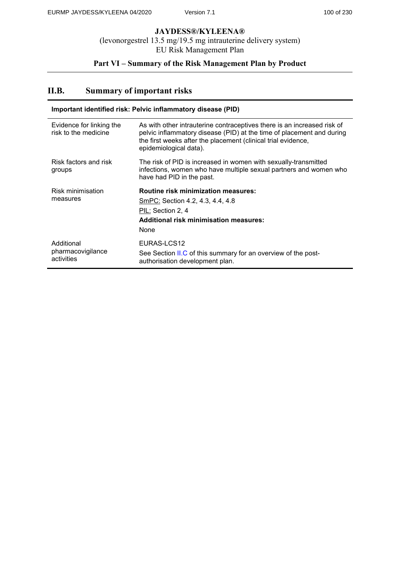# **Part VI – Summary of the Risk Management Plan by Product**

# **II.B. Summary of important risks**

| Important identified risk: Pelvic inflammatory disease (PID) |                                                                                                                                                                                                                                             |
|--------------------------------------------------------------|---------------------------------------------------------------------------------------------------------------------------------------------------------------------------------------------------------------------------------------------|
| Evidence for linking the<br>risk to the medicine             | As with other intrauterine contraceptives there is an increased risk of<br>pelvic inflammatory disease (PID) at the time of placement and during<br>the first weeks after the placement (clinical trial evidence,<br>epidemiological data). |
| Risk factors and risk<br>groups                              | The risk of PID is increased in women with sexually-transmitted<br>infections, women who have multiple sexual partners and women who<br>have had PID in the past.                                                                           |
| Risk minimisation<br>measures                                | <b>Routine risk minimization measures:</b><br>SmPC: Section 4.2, 4.3, 4.4, 4.8<br>PIL: Section 2, 4<br><b>Additional risk minimisation measures:</b><br>None                                                                                |
| Additional<br>pharmacovigilance<br>activities                | EURAS-LCS12<br>See Section II.C of this summary for an overview of the post-<br>authorisation development plan.                                                                                                                             |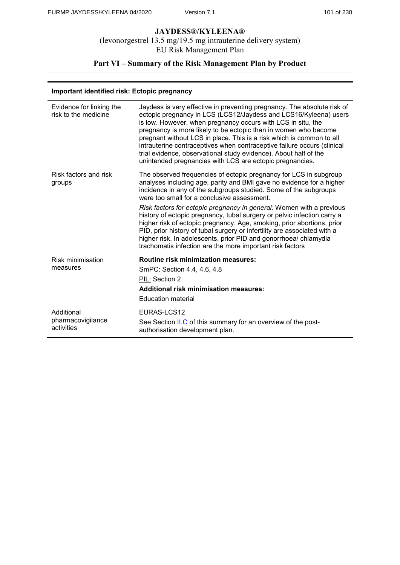# **Part VI – Summary of the Risk Management Plan by Product**

### **Important identified risk: Ectopic pregnancy**

| Evidence for linking the<br>risk to the medicine | Jaydess is very effective in preventing pregnancy. The absolute risk of<br>ectopic pregnancy in LCS (LCS12/Jaydess and LCS16/Kyleena) users<br>is low. However, when pregnancy occurs with LCS in situ, the<br>pregnancy is more likely to be ectopic than in women who become<br>pregnant without LCS in place. This is a risk which is common to all<br>intrauterine contraceptives when contraceptive failure occurs (clinical<br>trial evidence, observational study evidence). About half of the<br>unintended pregnancies with LCS are ectopic pregnancies. |
|--------------------------------------------------|-------------------------------------------------------------------------------------------------------------------------------------------------------------------------------------------------------------------------------------------------------------------------------------------------------------------------------------------------------------------------------------------------------------------------------------------------------------------------------------------------------------------------------------------------------------------|
| Risk factors and risk<br>groups                  | The observed frequencies of ectopic pregnancy for LCS in subgroup<br>analyses including age, parity and BMI gave no evidence for a higher<br>incidence in any of the subgroups studied. Some of the subgroups<br>were too small for a conclusive assessment.                                                                                                                                                                                                                                                                                                      |
|                                                  | Risk factors for ectopic pregnancy in general: Women with a previous<br>history of ectopic pregnancy, tubal surgery or pelvic infection carry a<br>higher risk of ectopic pregnancy. Age, smoking, prior abortions, prior<br>PID, prior history of tubal surgery or infertility are associated with a<br>higher risk. In adolescents, prior PID and gonorrhoea/ chlamydia<br>trachomatis infection are the more important risk factors                                                                                                                            |
| Risk minimisation                                | <b>Routine risk minimization measures:</b>                                                                                                                                                                                                                                                                                                                                                                                                                                                                                                                        |
| measures                                         | SmPC: Section 4.4, 4.6, 4.8                                                                                                                                                                                                                                                                                                                                                                                                                                                                                                                                       |
|                                                  | PIL: Section 2                                                                                                                                                                                                                                                                                                                                                                                                                                                                                                                                                    |
|                                                  | <b>Additional risk minimisation measures:</b>                                                                                                                                                                                                                                                                                                                                                                                                                                                                                                                     |
|                                                  | <b>Education material</b>                                                                                                                                                                                                                                                                                                                                                                                                                                                                                                                                         |
| Additional                                       | EURAS-LCS12                                                                                                                                                                                                                                                                                                                                                                                                                                                                                                                                                       |
| pharmacovigilance<br>activities                  | See Section II.C of this summary for an overview of the post-<br>authorisation development plan.                                                                                                                                                                                                                                                                                                                                                                                                                                                                  |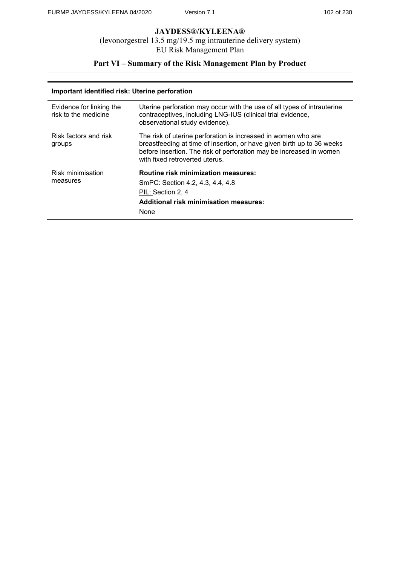# **Part VI – Summary of the Risk Management Plan by Product**

### **Important identified risk: Uterine perforation**

| Evidence for linking the<br>risk to the medicine | Uterine perforation may occur with the use of all types of intrauterine<br>contraceptives, including LNG-IUS (clinical trial evidence,<br>observational study evidence).                                                                        |
|--------------------------------------------------|-------------------------------------------------------------------------------------------------------------------------------------------------------------------------------------------------------------------------------------------------|
| Risk factors and risk<br>groups                  | The risk of uterine perforation is increased in women who are<br>breastfeeding at time of insertion, or have given birth up to 36 weeks<br>before insertion. The risk of perforation may be increased in women<br>with fixed retroverted uterus |
| Risk minimisation<br>measures                    | Routine risk minimization measures:<br>SmPC: Section 4.2, 4.3, 4.4, 4.8<br>PIL: Section 2, 4<br><b>Additional risk minimisation measures:</b><br>None                                                                                           |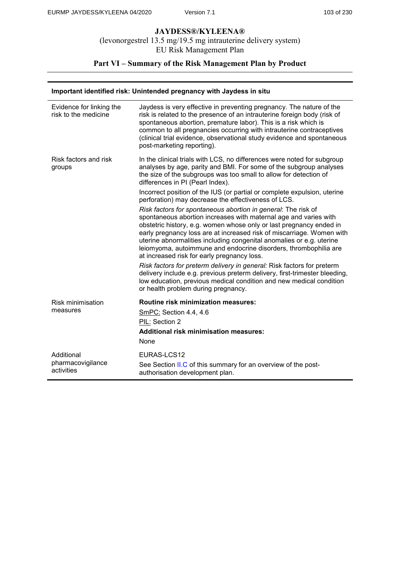# **Part VI – Summary of the Risk Management Plan by Product**

### **Important identified risk: Unintended pregnancy with Jaydess in situ**

| Evidence for linking the<br>risk to the medicine | Jaydess is very effective in preventing pregnancy. The nature of the<br>risk is related to the presence of an intrauterine foreign body (risk of<br>spontaneous abortion, premature labor). This is a risk which is<br>common to all pregnancies occurring with intrauterine contraceptives<br>(clinical trial evidence, observational study evidence and spontaneous<br>post-marketing reporting).                                                                          |
|--------------------------------------------------|------------------------------------------------------------------------------------------------------------------------------------------------------------------------------------------------------------------------------------------------------------------------------------------------------------------------------------------------------------------------------------------------------------------------------------------------------------------------------|
| Risk factors and risk<br>groups                  | In the clinical trials with LCS, no differences were noted for subgroup<br>analyses by age, parity and BMI. For some of the subgroup analyses<br>the size of the subgroups was too small to allow for detection of<br>differences in PI (Pearl Index).<br>Incorrect position of the IUS (or partial or complete expulsion, uterine<br>perforation) may decrease the effectiveness of LCS.                                                                                    |
|                                                  | Risk factors for spontaneous abortion in general: The risk of<br>spontaneous abortion increases with maternal age and varies with<br>obstetric history, e.g. women whose only or last pregnancy ended in<br>early pregnancy loss are at increased risk of miscarriage. Women with<br>uterine abnormalities including congenital anomalies or e.g. uterine<br>leiomyoma, autoimmune and endocrine disorders, thrombophilia are<br>at increased risk for early pregnancy loss. |
|                                                  | Risk factors for preterm delivery in general: Risk factors for preterm<br>delivery include e.g. previous preterm delivery, first-trimester bleeding,<br>low education, previous medical condition and new medical condition<br>or health problem during pregnancy.                                                                                                                                                                                                           |
| <b>Risk minimisation</b><br>measures             | <b>Routine risk minimization measures:</b><br>SmPC: Section 4.4, 4.6<br>PIL: Section 2<br><b>Additional risk minimisation measures:</b><br>None                                                                                                                                                                                                                                                                                                                              |
| Additional<br>pharmacovigilance<br>activities    | EURAS-LCS12<br>See Section II.C of this summary for an overview of the post-<br>authorisation development plan.                                                                                                                                                                                                                                                                                                                                                              |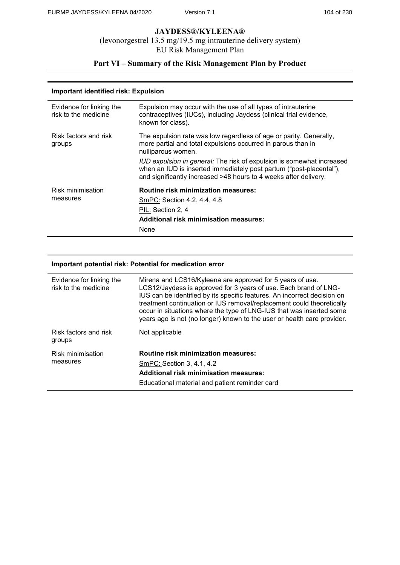# **Part VI – Summary of the Risk Management Plan by Product**

### **Important identified risk: Expulsion**

| Evidence for linking the<br>risk to the medicine | Expulsion may occur with the use of all types of intrauterine<br>contraceptives (IUCs), including Jaydess (clinical trial evidence,<br>known for class).                                                                                                                                                                                                                     |
|--------------------------------------------------|------------------------------------------------------------------------------------------------------------------------------------------------------------------------------------------------------------------------------------------------------------------------------------------------------------------------------------------------------------------------------|
| Risk factors and risk<br>groups                  | The expulsion rate was low regardless of age or parity. Generally,<br>more partial and total expulsions occurred in parous than in<br>nulliparous women.<br>IUD expulsion in general: The risk of expulsion is somewhat increased<br>when an IUD is inserted immediately post partum ("post-placental"),<br>and significantly increased >48 hours to 4 weeks after delivery. |
| Risk minimisation<br>measures                    | <b>Routine risk minimization measures:</b><br>SmPC: Section 4.2, 4.4, 4.8<br>PIL: Section 2, 4<br><b>Additional risk minimisation measures:</b><br>None                                                                                                                                                                                                                      |

### **Important potential risk: Potential for medication error**

| Evidence for linking the<br>risk to the medicine | Mirena and LCS16/Kyleena are approved for 5 years of use.<br>LCS12/Jaydess is approved for 3 years of use. Each brand of LNG-<br>IUS can be identified by its specific features. An incorrect decision on<br>treatment continuation or IUS removal/replacement could theoretically<br>occur in situations where the type of LNG-IUS that was inserted some<br>years ago is not (no longer) known to the user or health care provider. |
|--------------------------------------------------|---------------------------------------------------------------------------------------------------------------------------------------------------------------------------------------------------------------------------------------------------------------------------------------------------------------------------------------------------------------------------------------------------------------------------------------|
| Risk factors and risk<br>groups                  | Not applicable                                                                                                                                                                                                                                                                                                                                                                                                                        |
| <b>Risk minimisation</b><br>measures             | Routine risk minimization measures:<br>SmPC: Section 3, 4.1, 4.2<br><b>Additional risk minimisation measures:</b><br>Educational material and patient reminder card                                                                                                                                                                                                                                                                   |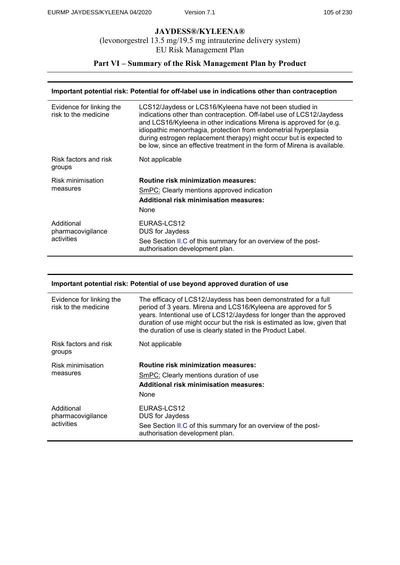# **Part VI – Summary of the Risk Management Plan by Product**

#### **Important potential risk: Potential for off-label use in indications other than contraception**

| Evidence for linking the<br>risk to the medicine | LCS12/Jaydess or LCS16/Kyleena have not been studied in<br>indications other than contraception. Off-label use of LCS12/Jaydess<br>and LCS16/Kyleena in other indications Mirena is approved for (e.g.<br>idiopathic menorrhagia, protection from endometrial hyperplasia<br>during estrogen replacement therapy) might occur but is expected to<br>be low, since an effective treatment in the form of Mirena is available. |
|--------------------------------------------------|------------------------------------------------------------------------------------------------------------------------------------------------------------------------------------------------------------------------------------------------------------------------------------------------------------------------------------------------------------------------------------------------------------------------------|
| Risk factors and risk<br>groups                  | Not applicable                                                                                                                                                                                                                                                                                                                                                                                                               |
| Risk minimisation<br>measures                    | <b>Routine risk minimization measures:</b><br>SmPC: Clearly mentions approved indication<br><b>Additional risk minimisation measures:</b><br>None                                                                                                                                                                                                                                                                            |
| Additional<br>pharmacovigilance<br>activities    | EURAS-LCS12<br>DUS for Jaydess<br>See Section II.C of this summary for an overview of the post-<br>authorisation development plan.                                                                                                                                                                                                                                                                                           |

#### **Important potential risk: Potential of use beyond approved duration of use**

| Evidence for linking the<br>risk to the medicine | The efficacy of LCS12/Jaydess has been demonstrated for a full<br>period of 3 years. Mirena and LCS16/Kyleena are approved for 5<br>years. Intentional use of LCS12/Jaydess for longer than the approved<br>duration of use might occur but the risk is estimated as low, given that<br>the duration of use is clearly stated in the Product Label. |
|--------------------------------------------------|-----------------------------------------------------------------------------------------------------------------------------------------------------------------------------------------------------------------------------------------------------------------------------------------------------------------------------------------------------|
| Risk factors and risk<br>groups                  | Not applicable                                                                                                                                                                                                                                                                                                                                      |
| Risk minimisation<br>measures                    | <b>Routine risk minimization measures:</b>                                                                                                                                                                                                                                                                                                          |
|                                                  | <b>SmPC:</b> Clearly mentions duration of use                                                                                                                                                                                                                                                                                                       |
|                                                  | <b>Additional risk minimisation measures:</b>                                                                                                                                                                                                                                                                                                       |
|                                                  | None                                                                                                                                                                                                                                                                                                                                                |
| Additional<br>pharmacovigilance<br>activities    | EURAS-LCS12                                                                                                                                                                                                                                                                                                                                         |
|                                                  | <b>DUS for Jaydess</b>                                                                                                                                                                                                                                                                                                                              |
|                                                  | See Section II.C of this summary for an overview of the post-<br>authorisation development plan.                                                                                                                                                                                                                                                    |